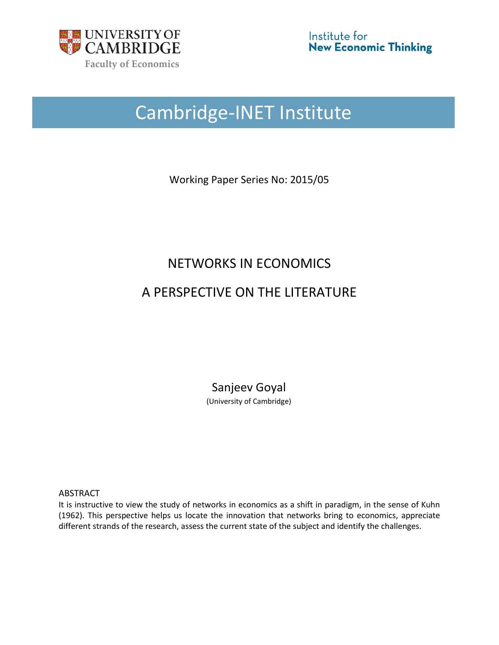

# Cambridge-INET Institute

Working Paper Series No: 2015/05

# NETWORKS IN ECONOMICS

## A PERSPECTIVE ON THE LITERATURE

Sanjeev Goyal

(University of Cambridge)

ABSTRACT

It is instructive to view the study of networks in economics as a shift in paradigm, in the sense of Kuhn (1962). This perspective helps us locate the innovation that networks bring to economics, appreciate different strands of the research, assess the current state of the subject and identify the challenges.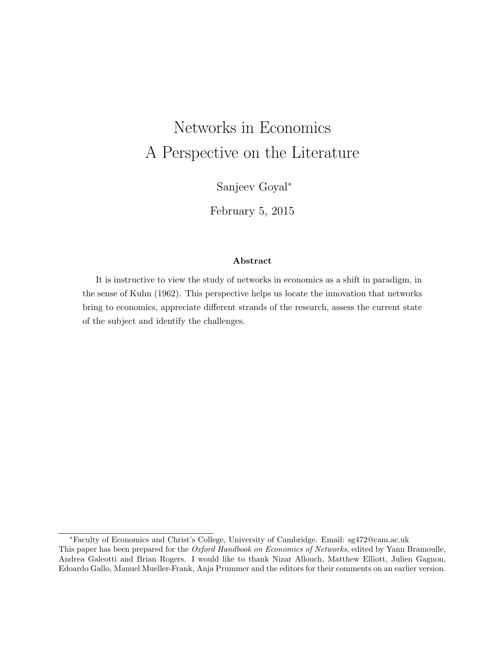## Networks in Economics A Perspective on the Literature

Sanjeev Goyal\*

February 5, 2015

#### Abstract

It is instructive to view the study of networks in economics as a shift in paradigm, in the sense of Kuhn (1962). This perspective helps us locate the innovation that networks bring to economics, appreciate different strands of the research, assess the current state of the subject and identify the challenges.

<sup>⇤</sup>Faculty of Economics and Christ's College, University of Cambridge. Email: sg472@cam.ac.uk This paper has been prepared for the *Oxford Handbook on Economics of Networks*, edited by Yann Bramoulle, Andrea Galeotti and Brian Rogers. I would like to thank Nizar Allouch, Matthew Elliott, Julien Gagnon, Edoardo Gallo, Manuel Mueller-Frank, Anja Prummer and the editors for their comments on an earlier version.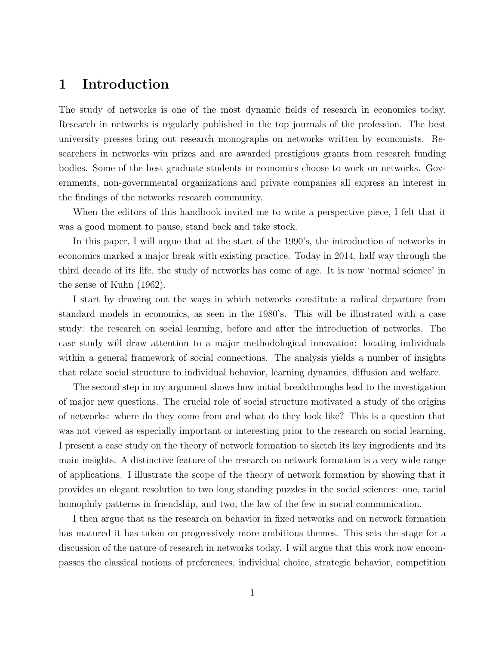### 1 Introduction

The study of networks is one of the most dynamic fields of research in economics today. Research in networks is regularly published in the top journals of the profession. The best university presses bring out research monographs on networks written by economists. Researchers in networks win prizes and are awarded prestigious grants from research funding bodies. Some of the best graduate students in economics choose to work on networks. Governments, non-governmental organizations and private companies all express an interest in the findings of the networks research community.

When the editors of this handbook invited me to write a perspective piece, I felt that it was a good moment to pause, stand back and take stock.

In this paper, I will argue that at the start of the 1990's, the introduction of networks in economics marked a major break with existing practice. Today in 2014, half way through the third decade of its life, the study of networks has come of age. It is now 'normal science' in the sense of Kuhn (1962).

I start by drawing out the ways in which networks constitute a radical departure from standard models in economics, as seen in the 1980's. This will be illustrated with a case study: the research on social learning, before and after the introduction of networks. The case study will draw attention to a major methodological innovation: locating individuals within a general framework of social connections. The analysis yields a number of insights that relate social structure to individual behavior, learning dynamics, diffusion and welfare.

The second step in my argument shows how initial breakthroughs lead to the investigation of major new questions. The crucial role of social structure motivated a study of the origins of networks: where do they come from and what do they look like? This is a question that was not viewed as especially important or interesting prior to the research on social learning. I present a case study on the theory of network formation to sketch its key ingredients and its main insights. A distinctive feature of the research on network formation is a very wide range of applications. I illustrate the scope of the theory of network formation by showing that it provides an elegant resolution to two long standing puzzles in the social sciences: one, racial homophily patterns in friendship, and two, the law of the few in social communication.

I then argue that as the research on behavior in fixed networks and on network formation has matured it has taken on progressively more ambitious themes. This sets the stage for a discussion of the nature of research in networks today. I will argue that this work now encompasses the classical notions of preferences, individual choice, strategic behavior, competition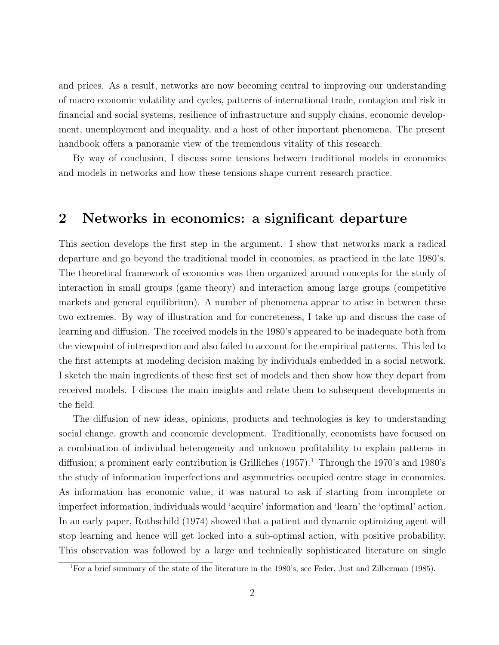and prices. As a result, networks are now becoming central to improving our understanding of macro economic volatility and cycles, patterns of international trade, contagion and risk in financial and social systems, resilience of infrastructure and supply chains, economic development, unemployment and inequality, and a host of other important phenomena. The present handbook offers a panoramic view of the tremendous vitality of this research.

By way of conclusion, I discuss some tensions between traditional models in economics and models in networks and how these tensions shape current research practice.

#### 2 Networks in economics: a significant departure

This section develops the first step in the argument. I show that networks mark a radical departure and go beyond the traditional model in economics, as practiced in the late 1980's. The theoretical framework of economics was then organized around concepts for the study of interaction in small groups (game theory) and interaction among large groups (competitive markets and general equilibrium). A number of phenomena appear to arise in between these two extremes. By way of illustration and for concreteness, I take up and discuss the case of learning and diffusion. The received models in the 1980's appeared to be inadequate both from the viewpoint of introspection and also failed to account for the empirical patterns. This led to the first attempts at modeling decision making by individuals embedded in a social network. I sketch the main ingredients of these first set of models and then show how they depart from received models. I discuss the main insights and relate them to subsequent developments in the field.

The diffusion of new ideas, opinions, products and technologies is key to understanding social change, growth and economic development. Traditionally, economists have focused on a combination of individual heterogeneity and unknown profitability to explain patterns in diffusion; a prominent early contribution is Grilliches  $(1957)^{1}$ . Through the 1970's and 1980's the study of information imperfections and asymmetries occupied centre stage in economics. As information has economic value, it was natural to ask if starting from incomplete or imperfect information, individuals would 'acquire' information and 'learn' the 'optimal' action. In an early paper, Rothschild (1974) showed that a patient and dynamic optimizing agent will stop learning and hence will get locked into a sub-optimal action, with positive probability. This observation was followed by a large and technically sophisticated literature on single

<sup>&</sup>lt;sup>1</sup>For a brief summary of the state of the literature in the 1980's, see Feder, Just and Zilberman (1985).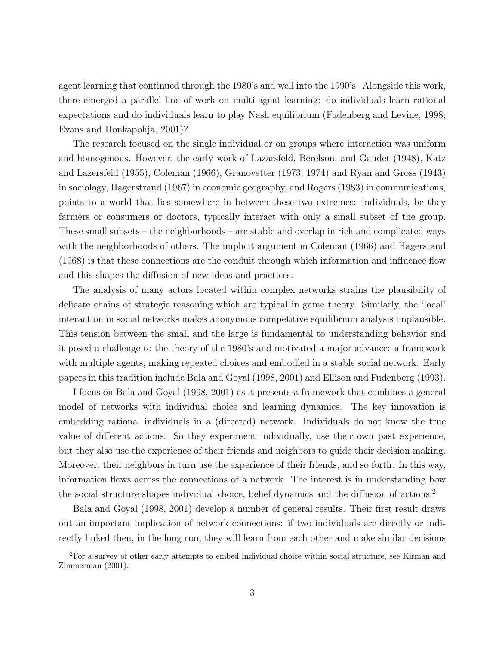agent learning that continued through the 1980's and well into the 1990's. Alongside this work, there emerged a parallel line of work on multi-agent learning: do individuals learn rational expectations and do individuals learn to play Nash equilibrium (Fudenberg and Levine, 1998; Evans and Honkapohja, 2001)?

The research focused on the single individual or on groups where interaction was uniform and homogenous. However, the early work of Lazarsfeld, Berelson, and Gaudet (1948), Katz and Lazersfeld (1955), Coleman (1966), Granovetter (1973, 1974) and Ryan and Gross (1943) in sociology, Hagerstrand (1967) in economic geography, and Rogers (1983) in communications, points to a world that lies somewhere in between these two extremes: individuals, be they farmers or consumers or doctors, typically interact with only a small subset of the group. These small subsets – the neighborhoods – are stable and overlap in rich and complicated ways with the neighborhoods of others. The implicit argument in Coleman (1966) and Hagerstand (1968) is that these connections are the conduit through which information and influence flow and this shapes the diffusion of new ideas and practices.

The analysis of many actors located within complex networks strains the plausibility of delicate chains of strategic reasoning which are typical in game theory. Similarly, the 'local' interaction in social networks makes anonymous competitive equilibrium analysis implausible. This tension between the small and the large is fundamental to understanding behavior and it posed a challenge to the theory of the 1980's and motivated a major advance: a framework with multiple agents, making repeated choices and embodied in a stable social network. Early papers in this tradition include Bala and Goyal (1998, 2001) and Ellison and Fudenberg (1993).

I focus on Bala and Goyal (1998, 2001) as it presents a framework that combines a general model of networks with individual choice and learning dynamics. The key innovation is embedding rational individuals in a (directed) network. Individuals do not know the true value of different actions. So they experiment individually, use their own past experience, but they also use the experience of their friends and neighbors to guide their decision making. Moreover, their neighbors in turn use the experience of their friends, and so forth. In this way, information flows across the connections of a network. The interest is in understanding how the social structure shapes individual choice, belief dynamics and the diffusion of actions.<sup>2</sup>

Bala and Goyal (1998, 2001) develop a number of general results. Their first result draws out an important implication of network connections: if two individuals are directly or indirectly linked then, in the long run, they will learn from each other and make similar decisions

<sup>&</sup>lt;sup>2</sup>For a survey of other early attempts to embed individual choice within social structure, see Kirman and Zimmerman (2001).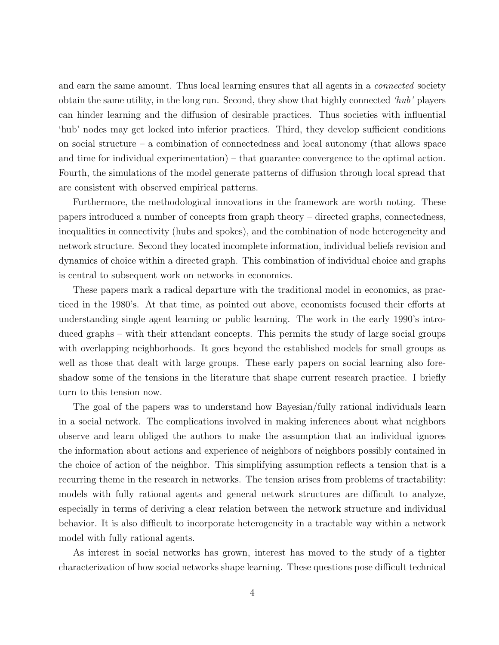and earn the same amount. Thus local learning ensures that all agents in a *connected* society obtain the same utility, in the long run. Second, they show that highly connected *'hub'* players can hinder learning and the diffusion of desirable practices. Thus societies with influential 'hub' nodes may get locked into inferior practices. Third, they develop sufficient conditions on social structure – a combination of connectedness and local autonomy (that allows space and time for individual experimentation) – that guarantee convergence to the optimal action. Fourth, the simulations of the model generate patterns of diffusion through local spread that are consistent with observed empirical patterns.

Furthermore, the methodological innovations in the framework are worth noting. These papers introduced a number of concepts from graph theory – directed graphs, connectedness, inequalities in connectivity (hubs and spokes), and the combination of node heterogeneity and network structure. Second they located incomplete information, individual beliefs revision and dynamics of choice within a directed graph. This combination of individual choice and graphs is central to subsequent work on networks in economics.

These papers mark a radical departure with the traditional model in economics, as practiced in the 1980's. At that time, as pointed out above, economists focused their efforts at understanding single agent learning or public learning. The work in the early 1990's introduced graphs – with their attendant concepts. This permits the study of large social groups with overlapping neighborhoods. It goes beyond the established models for small groups as well as those that dealt with large groups. These early papers on social learning also foreshadow some of the tensions in the literature that shape current research practice. I briefly turn to this tension now.

The goal of the papers was to understand how Bayesian/fully rational individuals learn in a social network. The complications involved in making inferences about what neighbors observe and learn obliged the authors to make the assumption that an individual ignores the information about actions and experience of neighbors of neighbors possibly contained in the choice of action of the neighbor. This simplifying assumption reflects a tension that is a recurring theme in the research in networks. The tension arises from problems of tractability: models with fully rational agents and general network structures are difficult to analyze, especially in terms of deriving a clear relation between the network structure and individual behavior. It is also difficult to incorporate heterogeneity in a tractable way within a network model with fully rational agents.

As interest in social networks has grown, interest has moved to the study of a tighter characterization of how social networks shape learning. These questions pose difficult technical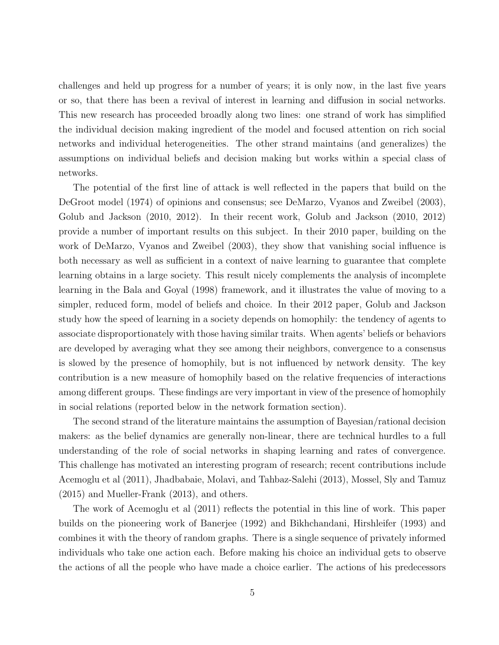challenges and held up progress for a number of years; it is only now, in the last five years or so, that there has been a revival of interest in learning and diffusion in social networks. This new research has proceeded broadly along two lines: one strand of work has simplified the individual decision making ingredient of the model and focused attention on rich social networks and individual heterogeneities. The other strand maintains (and generalizes) the assumptions on individual beliefs and decision making but works within a special class of networks.

The potential of the first line of attack is well reflected in the papers that build on the DeGroot model (1974) of opinions and consensus; see DeMarzo, Vyanos and Zweibel (2003), Golub and Jackson (2010, 2012). In their recent work, Golub and Jackson (2010, 2012) provide a number of important results on this subject. In their 2010 paper, building on the work of DeMarzo, Vyanos and Zweibel (2003), they show that vanishing social influence is both necessary as well as sufficient in a context of naive learning to guarantee that complete learning obtains in a large society. This result nicely complements the analysis of incomplete learning in the Bala and Goyal (1998) framework, and it illustrates the value of moving to a simpler, reduced form, model of beliefs and choice. In their 2012 paper, Golub and Jackson study how the speed of learning in a society depends on homophily: the tendency of agents to associate disproportionately with those having similar traits. When agents' beliefs or behaviors are developed by averaging what they see among their neighbors, convergence to a consensus is slowed by the presence of homophily, but is not influenced by network density. The key contribution is a new measure of homophily based on the relative frequencies of interactions among different groups. These findings are very important in view of the presence of homophily in social relations (reported below in the network formation section).

The second strand of the literature maintains the assumption of Bayesian/rational decision makers: as the belief dynamics are generally non-linear, there are technical hurdles to a full understanding of the role of social networks in shaping learning and rates of convergence. This challenge has motivated an interesting program of research; recent contributions include Acemoglu et al (2011), Jhadbabaie, Molavi, and Tahbaz-Salehi (2013), Mossel, Sly and Tamuz (2015) and Mueller-Frank (2013), and others.

The work of Acemoglu et al (2011) reflects the potential in this line of work. This paper builds on the pioneering work of Banerjee (1992) and Bikhchandani, Hirshleifer (1993) and combines it with the theory of random graphs. There is a single sequence of privately informed individuals who take one action each. Before making his choice an individual gets to observe the actions of all the people who have made a choice earlier. The actions of his predecessors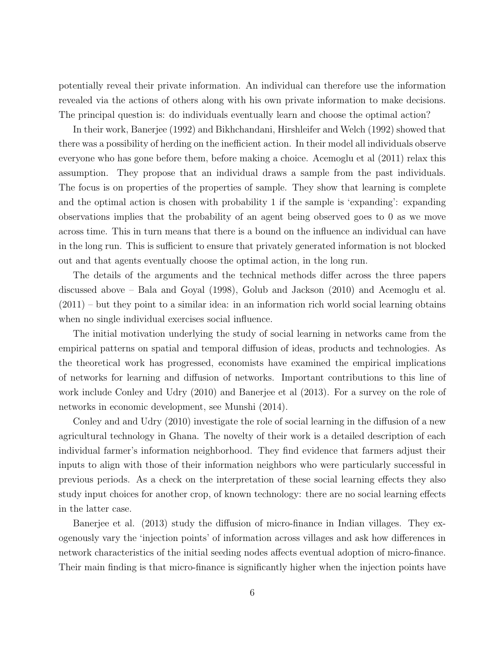potentially reveal their private information. An individual can therefore use the information revealed via the actions of others along with his own private information to make decisions. The principal question is: do individuals eventually learn and choose the optimal action?

In their work, Banerjee (1992) and Bikhchandani, Hirshleifer and Welch (1992) showed that there was a possibility of herding on the inefficient action. In their model all individuals observe everyone who has gone before them, before making a choice. Acemoglu et al (2011) relax this assumption. They propose that an individual draws a sample from the past individuals. The focus is on properties of the properties of sample. They show that learning is complete and the optimal action is chosen with probability 1 if the sample is 'expanding': expanding observations implies that the probability of an agent being observed goes to 0 as we move across time. This in turn means that there is a bound on the influence an individual can have in the long run. This is sufficient to ensure that privately generated information is not blocked out and that agents eventually choose the optimal action, in the long run.

The details of the arguments and the technical methods differ across the three papers discussed above – Bala and Goyal (1998), Golub and Jackson (2010) and Acemoglu et al. (2011) – but they point to a similar idea: in an information rich world social learning obtains when no single individual exercises social influence.

The initial motivation underlying the study of social learning in networks came from the empirical patterns on spatial and temporal diffusion of ideas, products and technologies. As the theoretical work has progressed, economists have examined the empirical implications of networks for learning and diffusion of networks. Important contributions to this line of work include Conley and Udry (2010) and Banerjee et al (2013). For a survey on the role of networks in economic development, see Munshi (2014).

Conley and and Udry (2010) investigate the role of social learning in the diffusion of a new agricultural technology in Ghana. The novelty of their work is a detailed description of each individual farmer's information neighborhood. They find evidence that farmers adjust their inputs to align with those of their information neighbors who were particularly successful in previous periods. As a check on the interpretation of these social learning effects they also study input choices for another crop, of known technology: there are no social learning effects in the latter case.

Banerjee et al. (2013) study the diffusion of micro-finance in Indian villages. They exogenously vary the 'injection points' of information across villages and ask how differences in network characteristics of the initial seeding nodes affects eventual adoption of micro-finance. Their main finding is that micro-finance is significantly higher when the injection points have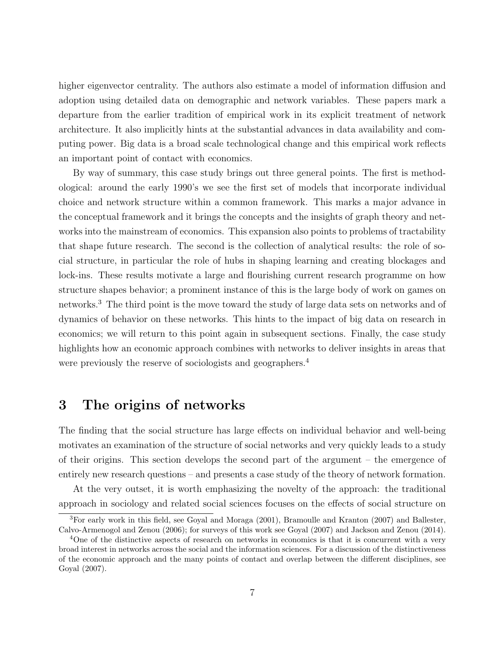higher eigenvector centrality. The authors also estimate a model of information diffusion and adoption using detailed data on demographic and network variables. These papers mark a departure from the earlier tradition of empirical work in its explicit treatment of network architecture. It also implicitly hints at the substantial advances in data availability and computing power. Big data is a broad scale technological change and this empirical work reflects an important point of contact with economics.

By way of summary, this case study brings out three general points. The first is methodological: around the early 1990's we see the first set of models that incorporate individual choice and network structure within a common framework. This marks a major advance in the conceptual framework and it brings the concepts and the insights of graph theory and networks into the mainstream of economics. This expansion also points to problems of tractability that shape future research. The second is the collection of analytical results: the role of social structure, in particular the role of hubs in shaping learning and creating blockages and lock-ins. These results motivate a large and flourishing current research programme on how structure shapes behavior; a prominent instance of this is the large body of work on games on networks.<sup>3</sup> The third point is the move toward the study of large data sets on networks and of dynamics of behavior on these networks. This hints to the impact of big data on research in economics; we will return to this point again in subsequent sections. Finally, the case study highlights how an economic approach combines with networks to deliver insights in areas that were previously the reserve of sociologists and geographers.<sup>4</sup>

### 3 The origins of networks

The finding that the social structure has large effects on individual behavior and well-being motivates an examination of the structure of social networks and very quickly leads to a study of their origins. This section develops the second part of the argument – the emergence of entirely new research questions – and presents a case study of the theory of network formation.

At the very outset, it is worth emphasizing the novelty of the approach: the traditional approach in sociology and related social sciences focuses on the effects of social structure on

 ${}^{3}$ For early work in this field, see Goyal and Moraga (2001), Bramoulle and Kranton (2007) and Ballester, Calvo-Armenogol and Zenou (2006); for surveys of this work see Goyal (2007) and Jackson and Zenou (2014).

<sup>&</sup>lt;sup>4</sup>One of the distinctive aspects of research on networks in economics is that it is concurrent with a very broad interest in networks across the social and the information sciences. For a discussion of the distinctiveness of the economic approach and the many points of contact and overlap between the different disciplines, see Goyal (2007).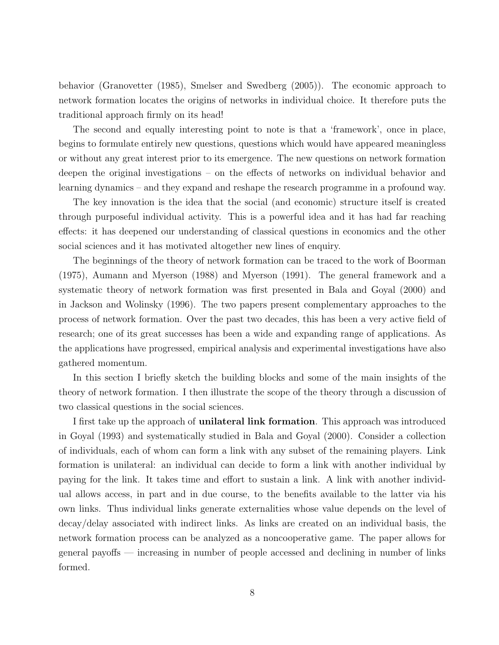behavior (Granovetter (1985), Smelser and Swedberg (2005)). The economic approach to network formation locates the origins of networks in individual choice. It therefore puts the traditional approach firmly on its head!

The second and equally interesting point to note is that a 'framework', once in place, begins to formulate entirely new questions, questions which would have appeared meaningless or without any great interest prior to its emergence. The new questions on network formation deepen the original investigations – on the effects of networks on individual behavior and learning dynamics – and they expand and reshape the research programme in a profound way.

The key innovation is the idea that the social (and economic) structure itself is created through purposeful individual activity. This is a powerful idea and it has had far reaching effects: it has deepened our understanding of classical questions in economics and the other social sciences and it has motivated altogether new lines of enquiry.

The beginnings of the theory of network formation can be traced to the work of Boorman (1975), Aumann and Myerson (1988) and Myerson (1991). The general framework and a systematic theory of network formation was first presented in Bala and Goyal (2000) and in Jackson and Wolinsky (1996). The two papers present complementary approaches to the process of network formation. Over the past two decades, this has been a very active field of research; one of its great successes has been a wide and expanding range of applications. As the applications have progressed, empirical analysis and experimental investigations have also gathered momentum.

In this section I briefly sketch the building blocks and some of the main insights of the theory of network formation. I then illustrate the scope of the theory through a discussion of two classical questions in the social sciences.

I first take up the approach of **unilateral link formation**. This approach was introduced in Goyal (1993) and systematically studied in Bala and Goyal (2000). Consider a collection of individuals, each of whom can form a link with any subset of the remaining players. Link formation is unilateral: an individual can decide to form a link with another individual by paying for the link. It takes time and effort to sustain a link. A link with another individual allows access, in part and in due course, to the benefits available to the latter via his own links. Thus individual links generate externalities whose value depends on the level of decay/delay associated with indirect links. As links are created on an individual basis, the network formation process can be analyzed as a noncooperative game. The paper allows for general payoffs — increasing in number of people accessed and declining in number of links formed.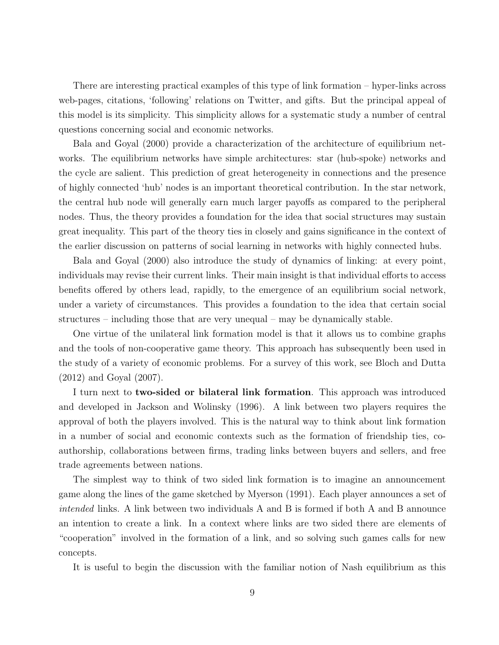There are interesting practical examples of this type of link formation – hyper-links across web-pages, citations, 'following' relations on Twitter, and gifts. But the principal appeal of this model is its simplicity. This simplicity allows for a systematic study a number of central questions concerning social and economic networks.

Bala and Goyal (2000) provide a characterization of the architecture of equilibrium networks. The equilibrium networks have simple architectures: star (hub-spoke) networks and the cycle are salient. This prediction of great heterogeneity in connections and the presence of highly connected 'hub' nodes is an important theoretical contribution. In the star network, the central hub node will generally earn much larger payoffs as compared to the peripheral nodes. Thus, the theory provides a foundation for the idea that social structures may sustain great inequality. This part of the theory ties in closely and gains significance in the context of the earlier discussion on patterns of social learning in networks with highly connected hubs.

Bala and Goyal (2000) also introduce the study of dynamics of linking: at every point, individuals may revise their current links. Their main insight is that individual efforts to access benefits offered by others lead, rapidly, to the emergence of an equilibrium social network, under a variety of circumstances. This provides a foundation to the idea that certain social structures – including those that are very unequal – may be dynamically stable.

One virtue of the unilateral link formation model is that it allows us to combine graphs and the tools of non-cooperative game theory. This approach has subsequently been used in the study of a variety of economic problems. For a survey of this work, see Bloch and Dutta (2012) and Goyal (2007).

I turn next to two-sided or bilateral link formation. This approach was introduced and developed in Jackson and Wolinsky (1996). A link between two players requires the approval of both the players involved. This is the natural way to think about link formation in a number of social and economic contexts such as the formation of friendship ties, coauthorship, collaborations between firms, trading links between buyers and sellers, and free trade agreements between nations.

The simplest way to think of two sided link formation is to imagine an announcement game along the lines of the game sketched by Myerson (1991). Each player announces a set of *intended* links. A link between two individuals A and B is formed if both A and B announce an intention to create a link. In a context where links are two sided there are elements of "cooperation" involved in the formation of a link, and so solving such games calls for new concepts.

It is useful to begin the discussion with the familiar notion of Nash equilibrium as this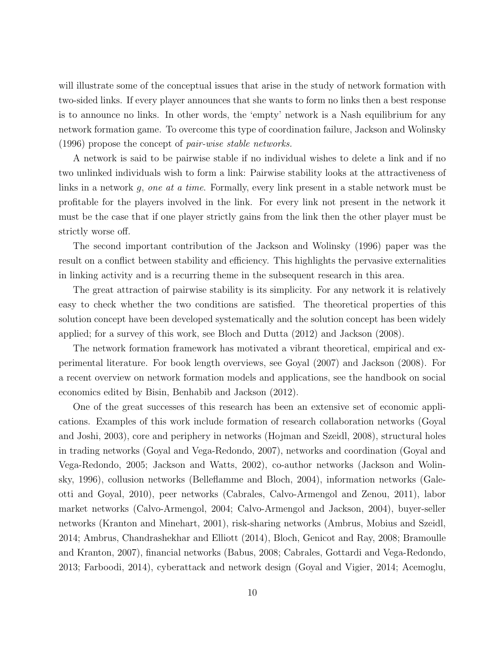will illustrate some of the conceptual issues that arise in the study of network formation with two-sided links. If every player announces that she wants to form no links then a best response is to announce no links. In other words, the 'empty' network is a Nash equilibrium for any network formation game. To overcome this type of coordination failure, Jackson and Wolinsky (1996) propose the concept of *pair-wise stable networks.*

A network is said to be pairwise stable if no individual wishes to delete a link and if no two unlinked individuals wish to form a link: Pairwise stability looks at the attractiveness of links in a network *g*, *one at a time*. Formally, every link present in a stable network must be profitable for the players involved in the link. For every link not present in the network it must be the case that if one player strictly gains from the link then the other player must be strictly worse off.

The second important contribution of the Jackson and Wolinsky (1996) paper was the result on a conflict between stability and efficiency. This highlights the pervasive externalities in linking activity and is a recurring theme in the subsequent research in this area.

The great attraction of pairwise stability is its simplicity. For any network it is relatively easy to check whether the two conditions are satisfied. The theoretical properties of this solution concept have been developed systematically and the solution concept has been widely applied; for a survey of this work, see Bloch and Dutta (2012) and Jackson (2008).

The network formation framework has motivated a vibrant theoretical, empirical and experimental literature. For book length overviews, see Goyal (2007) and Jackson (2008). For a recent overview on network formation models and applications, see the handbook on social economics edited by Bisin, Benhabib and Jackson (2012).

One of the great successes of this research has been an extensive set of economic applications. Examples of this work include formation of research collaboration networks (Goyal and Joshi, 2003), core and periphery in networks (Hojman and Szeidl, 2008), structural holes in trading networks (Goyal and Vega-Redondo, 2007), networks and coordination (Goyal and Vega-Redondo, 2005; Jackson and Watts, 2002), co-author networks (Jackson and Wolinsky, 1996), collusion networks (Belleflamme and Bloch, 2004), information networks (Galeotti and Goyal, 2010), peer networks (Cabrales, Calvo-Armengol and Zenou, 2011), labor market networks (Calvo-Armengol, 2004; Calvo-Armengol and Jackson, 2004), buyer-seller networks (Kranton and Minehart, 2001), risk-sharing networks (Ambrus, Mobius and Szeidl, 2014; Ambrus, Chandrashekhar and Elliott (2014), Bloch, Genicot and Ray, 2008; Bramoulle and Kranton, 2007), financial networks (Babus, 2008; Cabrales, Gottardi and Vega-Redondo, 2013; Farboodi, 2014), cyberattack and network design (Goyal and Vigier, 2014; Acemoglu,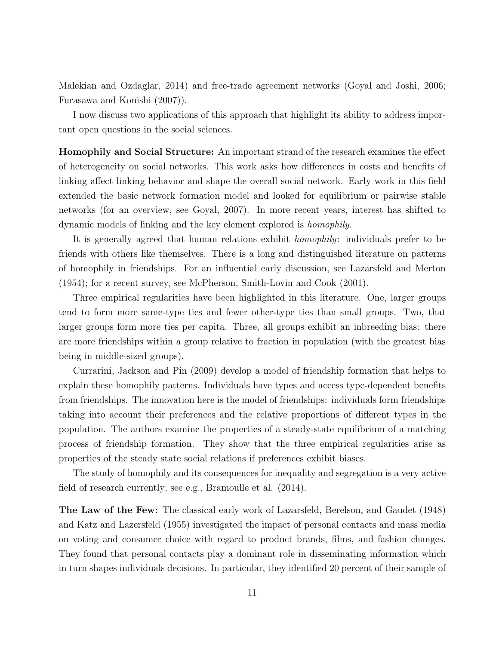Malekian and Ozdaglar, 2014) and free-trade agreement networks (Goyal and Joshi, 2006; Furasawa and Konishi (2007)).

I now discuss two applications of this approach that highlight its ability to address important open questions in the social sciences.

Homophily and Social Structure: An important strand of the research examines the effect of heterogeneity on social networks. This work asks how differences in costs and benefits of linking affect linking behavior and shape the overall social network. Early work in this field extended the basic network formation model and looked for equilibrium or pairwise stable networks (for an overview, see Goyal, 2007). In more recent years, interest has shifted to dynamic models of linking and the key element explored is *homophily*.

It is generally agreed that human relations exhibit *homophily*: individuals prefer to be friends with others like themselves. There is a long and distinguished literature on patterns of homophily in friendships. For an influential early discussion, see Lazarsfeld and Merton (1954); for a recent survey, see McPherson, Smith-Lovin and Cook (2001).

Three empirical regularities have been highlighted in this literature. One, larger groups tend to form more same-type ties and fewer other-type ties than small groups. Two, that larger groups form more ties per capita. Three, all groups exhibit an inbreeding bias: there are more friendships within a group relative to fraction in population (with the greatest bias being in middle-sized groups).

Currarini, Jackson and Pin (2009) develop a model of friendship formation that helps to explain these homophily patterns. Individuals have types and access type-dependent benefits from friendships. The innovation here is the model of friendships: individuals form friendships taking into account their preferences and the relative proportions of different types in the population. The authors examine the properties of a steady-state equilibrium of a matching process of friendship formation. They show that the three empirical regularities arise as properties of the steady state social relations if preferences exhibit biases.

The study of homophily and its consequences for inequality and segregation is a very active field of research currently; see e.g., Bramoulle et al. (2014).

The Law of the Few: The classical early work of Lazarsfeld, Berelson, and Gaudet (1948) and Katz and Lazersfeld (1955) investigated the impact of personal contacts and mass media on voting and consumer choice with regard to product brands, films, and fashion changes. They found that personal contacts play a dominant role in disseminating information which in turn shapes individuals decisions. In particular, they identified 20 percent of their sample of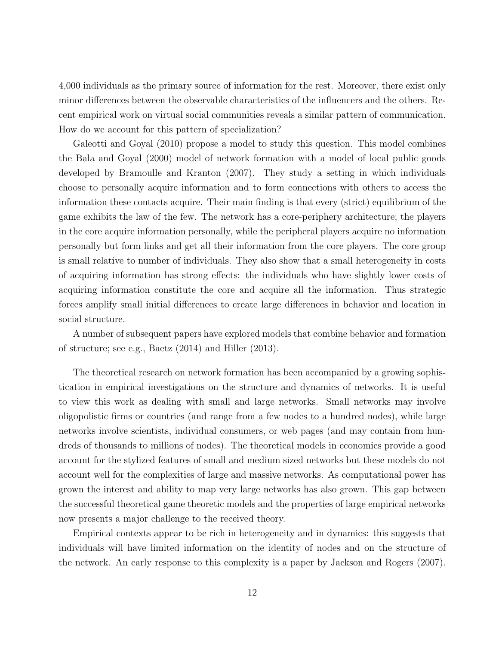4,000 individuals as the primary source of information for the rest. Moreover, there exist only minor differences between the observable characteristics of the influencers and the others. Recent empirical work on virtual social communities reveals a similar pattern of communication. How do we account for this pattern of specialization?

Galeotti and Goyal (2010) propose a model to study this question. This model combines the Bala and Goyal (2000) model of network formation with a model of local public goods developed by Bramoulle and Kranton (2007). They study a setting in which individuals choose to personally acquire information and to form connections with others to access the information these contacts acquire. Their main finding is that every (strict) equilibrium of the game exhibits the law of the few. The network has a core-periphery architecture; the players in the core acquire information personally, while the peripheral players acquire no information personally but form links and get all their information from the core players. The core group is small relative to number of individuals. They also show that a small heterogeneity in costs of acquiring information has strong effects: the individuals who have slightly lower costs of acquiring information constitute the core and acquire all the information. Thus strategic forces amplify small initial differences to create large differences in behavior and location in social structure.

A number of subsequent papers have explored models that combine behavior and formation of structure; see e.g., Baetz (2014) and Hiller (2013).

The theoretical research on network formation has been accompanied by a growing sophistication in empirical investigations on the structure and dynamics of networks. It is useful to view this work as dealing with small and large networks. Small networks may involve oligopolistic firms or countries (and range from a few nodes to a hundred nodes), while large networks involve scientists, individual consumers, or web pages (and may contain from hundreds of thousands to millions of nodes). The theoretical models in economics provide a good account for the stylized features of small and medium sized networks but these models do not account well for the complexities of large and massive networks. As computational power has grown the interest and ability to map very large networks has also grown. This gap between the successful theoretical game theoretic models and the properties of large empirical networks now presents a major challenge to the received theory.

Empirical contexts appear to be rich in heterogeneity and in dynamics: this suggests that individuals will have limited information on the identity of nodes and on the structure of the network. An early response to this complexity is a paper by Jackson and Rogers (2007).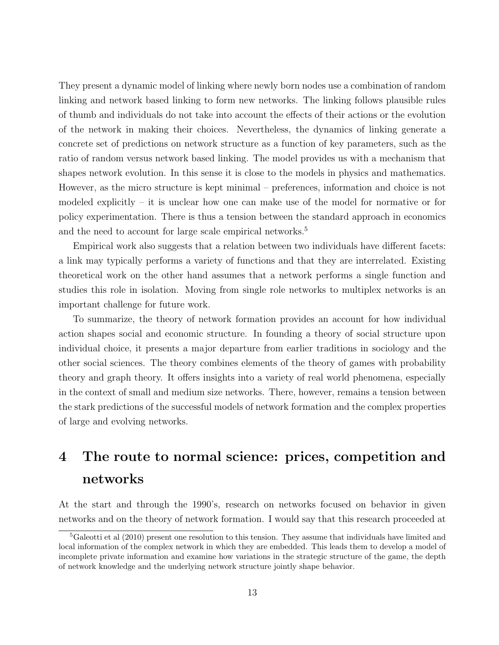They present a dynamic model of linking where newly born nodes use a combination of random linking and network based linking to form new networks. The linking follows plausible rules of thumb and individuals do not take into account the effects of their actions or the evolution of the network in making their choices. Nevertheless, the dynamics of linking generate a concrete set of predictions on network structure as a function of key parameters, such as the ratio of random versus network based linking. The model provides us with a mechanism that shapes network evolution. In this sense it is close to the models in physics and mathematics. However, as the micro structure is kept minimal – preferences, information and choice is not modeled explicitly – it is unclear how one can make use of the model for normative or for policy experimentation. There is thus a tension between the standard approach in economics and the need to account for large scale empirical networks.<sup>5</sup>

Empirical work also suggests that a relation between two individuals have different facets: a link may typically performs a variety of functions and that they are interrelated. Existing theoretical work on the other hand assumes that a network performs a single function and studies this role in isolation. Moving from single role networks to multiplex networks is an important challenge for future work.

To summarize, the theory of network formation provides an account for how individual action shapes social and economic structure. In founding a theory of social structure upon individual choice, it presents a major departure from earlier traditions in sociology and the other social sciences. The theory combines elements of the theory of games with probability theory and graph theory. It offers insights into a variety of real world phenomena, especially in the context of small and medium size networks. There, however, remains a tension between the stark predictions of the successful models of network formation and the complex properties of large and evolving networks.

## 4 The route to normal science: prices, competition and networks

At the start and through the 1990's, research on networks focused on behavior in given networks and on the theory of network formation. I would say that this research proceeded at

<sup>5</sup>Galeotti et al (2010) present one resolution to this tension. They assume that individuals have limited and local information of the complex network in which they are embedded. This leads them to develop a model of incomplete private information and examine how variations in the strategic structure of the game, the depth of network knowledge and the underlying network structure jointly shape behavior.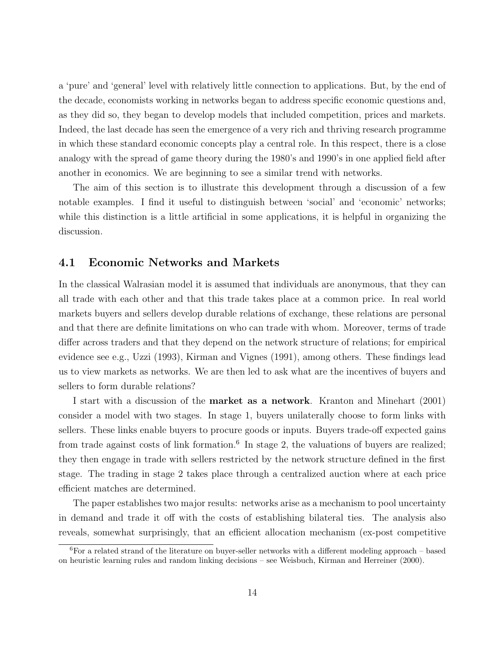a 'pure' and 'general' level with relatively little connection to applications. But, by the end of the decade, economists working in networks began to address specific economic questions and, as they did so, they began to develop models that included competition, prices and markets. Indeed, the last decade has seen the emergence of a very rich and thriving research programme in which these standard economic concepts play a central role. In this respect, there is a close analogy with the spread of game theory during the 1980's and 1990's in one applied field after another in economics. We are beginning to see a similar trend with networks.

The aim of this section is to illustrate this development through a discussion of a few notable examples. I find it useful to distinguish between 'social' and 'economic' networks; while this distinction is a little artificial in some applications, it is helpful in organizing the discussion.

#### 4.1 Economic Networks and Markets

In the classical Walrasian model it is assumed that individuals are anonymous, that they can all trade with each other and that this trade takes place at a common price. In real world markets buyers and sellers develop durable relations of exchange, these relations are personal and that there are definite limitations on who can trade with whom. Moreover, terms of trade differ across traders and that they depend on the network structure of relations; for empirical evidence see e.g., Uzzi (1993), Kirman and Vignes (1991), among others. These findings lead us to view markets as networks. We are then led to ask what are the incentives of buyers and sellers to form durable relations?

I start with a discussion of the market as a network. Kranton and Minehart (2001) consider a model with two stages. In stage 1, buyers unilaterally choose to form links with sellers. These links enable buyers to procure goods or inputs. Buyers trade-off expected gains from trade against costs of link formation.<sup>6</sup> In stage 2, the valuations of buyers are realized; they then engage in trade with sellers restricted by the network structure defined in the first stage. The trading in stage 2 takes place through a centralized auction where at each price efficient matches are determined.

The paper establishes two major results: networks arise as a mechanism to pool uncertainty in demand and trade it off with the costs of establishing bilateral ties. The analysis also reveals, somewhat surprisingly, that an efficient allocation mechanism (ex-post competitive

 ${}^{6}$ For a related strand of the literature on buyer-seller networks with a different modeling approach – based on heuristic learning rules and random linking decisions – see Weisbuch, Kirman and Herreiner (2000).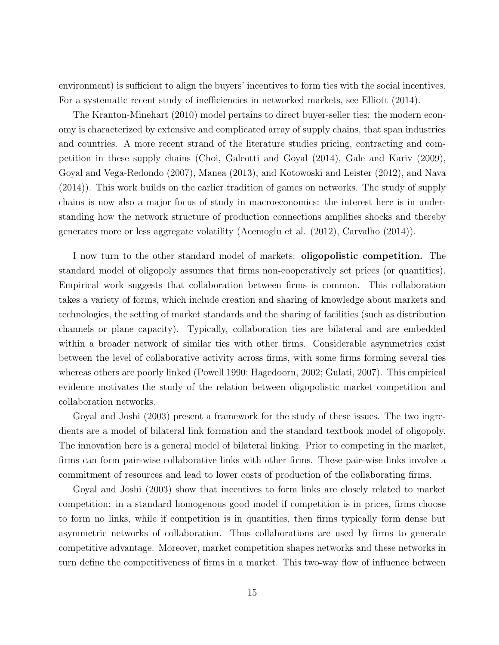environment) is sufficient to align the buyers' incentives to form ties with the social incentives. For a systematic recent study of inefficiencies in networked markets, see Elliott (2014).

The Kranton-Minehart (2010) model pertains to direct buyer-seller ties: the modern economy is characterized by extensive and complicated array of supply chains, that span industries and countries. A more recent strand of the literature studies pricing, contracting and competition in these supply chains (Choi, Galeotti and Goyal (2014), Gale and Kariv (2009), Goyal and Vega-Redondo (2007), Manea (2013), and Kotowoski and Leister (2012), and Nava (2014)). This work builds on the earlier tradition of games on networks. The study of supply chains is now also a major focus of study in macroeconomics: the interest here is in understanding how the network structure of production connections amplifies shocks and thereby generates more or less aggregate volatility (Acemoglu et al. (2012), Carvalho (2014)).

I now turn to the other standard model of markets: oligopolistic competition. The standard model of oligopoly assumes that firms non-cooperatively set prices (or quantities). Empirical work suggests that collaboration between firms is common. This collaboration takes a variety of forms, which include creation and sharing of knowledge about markets and technologies, the setting of market standards and the sharing of facilities (such as distribution channels or plane capacity). Typically, collaboration ties are bilateral and are embedded within a broader network of similar ties with other firms. Considerable asymmetries exist between the level of collaborative activity across firms, with some firms forming several ties whereas others are poorly linked (Powell 1990; Hagedoorn, 2002; Gulati, 2007). This empirical evidence motivates the study of the relation between oligopolistic market competition and collaboration networks.

Goyal and Joshi (2003) present a framework for the study of these issues. The two ingredients are a model of bilateral link formation and the standard textbook model of oligopoly. The innovation here is a general model of bilateral linking. Prior to competing in the market, firms can form pair-wise collaborative links with other firms. These pair-wise links involve a commitment of resources and lead to lower costs of production of the collaborating firms.

Goyal and Joshi (2003) show that incentives to form links are closely related to market competition: in a standard homogenous good model if competition is in prices, firms choose to form no links, while if competition is in quantities, then firms typically form dense but asymmetric networks of collaboration. Thus collaborations are used by firms to generate competitive advantage. Moreover, market competition shapes networks and these networks in turn define the competitiveness of firms in a market. This two-way flow of influence between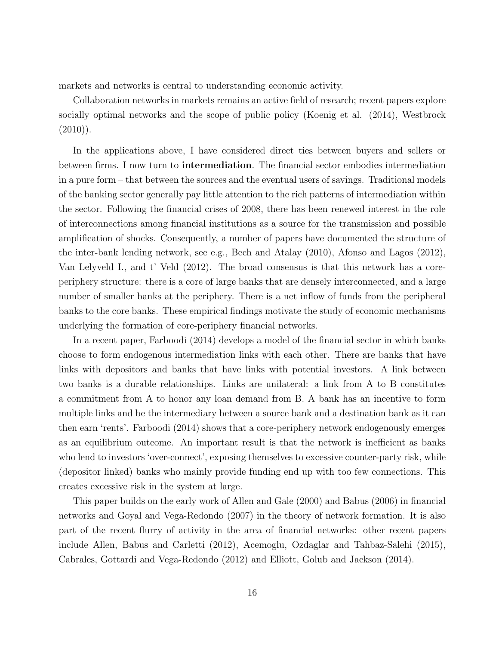markets and networks is central to understanding economic activity.

Collaboration networks in markets remains an active field of research; recent papers explore socially optimal networks and the scope of public policy (Koenig et al. (2014), Westbrock  $(2010)$ ).

In the applications above, I have considered direct ties between buyers and sellers or between firms. I now turn to intermediation. The financial sector embodies intermediation in a pure form – that between the sources and the eventual users of savings. Traditional models of the banking sector generally pay little attention to the rich patterns of intermediation within the sector. Following the financial crises of 2008, there has been renewed interest in the role of interconnections among financial institutions as a source for the transmission and possible amplification of shocks. Consequently, a number of papers have documented the structure of the inter-bank lending network, see e.g., Bech and Atalay (2010), Afonso and Lagos (2012), Van Lelyveld I., and t' Veld (2012). The broad consensus is that this network has a coreperiphery structure: there is a core of large banks that are densely interconnected, and a large number of smaller banks at the periphery. There is a net inflow of funds from the peripheral banks to the core banks. These empirical findings motivate the study of economic mechanisms underlying the formation of core-periphery financial networks.

In a recent paper, Farboodi (2014) develops a model of the financial sector in which banks choose to form endogenous intermediation links with each other. There are banks that have links with depositors and banks that have links with potential investors. A link between two banks is a durable relationships. Links are unilateral: a link from A to B constitutes a commitment from A to honor any loan demand from B. A bank has an incentive to form multiple links and be the intermediary between a source bank and a destination bank as it can then earn 'rents'. Farboodi (2014) shows that a core-periphery network endogenously emerges as an equilibrium outcome. An important result is that the network is inefficient as banks who lend to investors 'over-connect', exposing themselves to excessive counter-party risk, while (depositor linked) banks who mainly provide funding end up with too few connections. This creates excessive risk in the system at large.

This paper builds on the early work of Allen and Gale (2000) and Babus (2006) in financial networks and Goyal and Vega-Redondo (2007) in the theory of network formation. It is also part of the recent flurry of activity in the area of financial networks: other recent papers include Allen, Babus and Carletti (2012), Acemoglu, Ozdaglar and Tahbaz-Salehi (2015), Cabrales, Gottardi and Vega-Redondo (2012) and Elliott, Golub and Jackson (2014).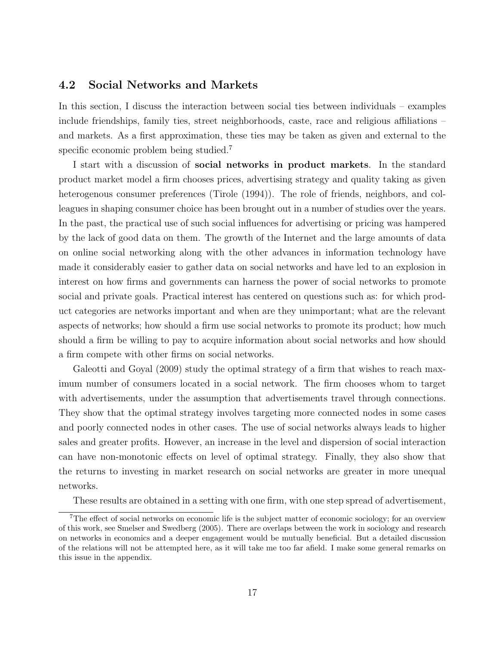#### 4.2 Social Networks and Markets

In this section, I discuss the interaction between social ties between individuals – examples include friendships, family ties, street neighborhoods, caste, race and religious affiliations – and markets. As a first approximation, these ties may be taken as given and external to the specific economic problem being studied.<sup>7</sup>

I start with a discussion of social networks in product markets. In the standard product market model a firm chooses prices, advertising strategy and quality taking as given heterogenous consumer preferences (Tirole (1994)). The role of friends, neighbors, and colleagues in shaping consumer choice has been brought out in a number of studies over the years. In the past, the practical use of such social influences for advertising or pricing was hampered by the lack of good data on them. The growth of the Internet and the large amounts of data on online social networking along with the other advances in information technology have made it considerably easier to gather data on social networks and have led to an explosion in interest on how firms and governments can harness the power of social networks to promote social and private goals. Practical interest has centered on questions such as: for which product categories are networks important and when are they unimportant; what are the relevant aspects of networks; how should a firm use social networks to promote its product; how much should a firm be willing to pay to acquire information about social networks and how should a firm compete with other firms on social networks.

Galeotti and Goyal (2009) study the optimal strategy of a firm that wishes to reach maximum number of consumers located in a social network. The firm chooses whom to target with advertisements, under the assumption that advertisements travel through connections. They show that the optimal strategy involves targeting more connected nodes in some cases and poorly connected nodes in other cases. The use of social networks always leads to higher sales and greater profits. However, an increase in the level and dispersion of social interaction can have non-monotonic effects on level of optimal strategy. Finally, they also show that the returns to investing in market research on social networks are greater in more unequal networks.

These results are obtained in a setting with one firm, with one step spread of advertisement,

<sup>&</sup>lt;sup>7</sup>The effect of social networks on economic life is the subject matter of economic sociology; for an overview of this work, see Smelser and Swedberg (2005). There are overlaps between the work in sociology and research on networks in economics and a deeper engagement would be mutually beneficial. But a detailed discussion of the relations will not be attempted here, as it will take me too far afield. I make some general remarks on this issue in the appendix.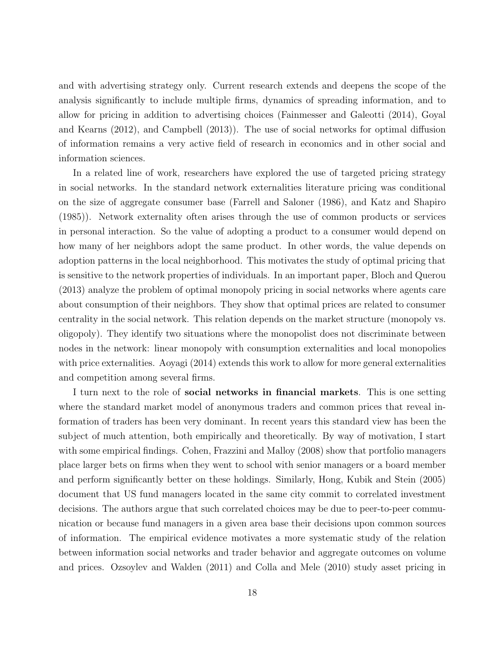and with advertising strategy only. Current research extends and deepens the scope of the analysis significantly to include multiple firms, dynamics of spreading information, and to allow for pricing in addition to advertising choices (Fainmesser and Galeotti (2014), Goyal and Kearns  $(2012)$ , and Campbell  $(2013)$ ). The use of social networks for optimal diffusion of information remains a very active field of research in economics and in other social and information sciences.

In a related line of work, researchers have explored the use of targeted pricing strategy in social networks. In the standard network externalities literature pricing was conditional on the size of aggregate consumer base (Farrell and Saloner (1986), and Katz and Shapiro (1985)). Network externality often arises through the use of common products or services in personal interaction. So the value of adopting a product to a consumer would depend on how many of her neighbors adopt the same product. In other words, the value depends on adoption patterns in the local neighborhood. This motivates the study of optimal pricing that is sensitive to the network properties of individuals. In an important paper, Bloch and Querou (2013) analyze the problem of optimal monopoly pricing in social networks where agents care about consumption of their neighbors. They show that optimal prices are related to consumer centrality in the social network. This relation depends on the market structure (monopoly vs. oligopoly). They identify two situations where the monopolist does not discriminate between nodes in the network: linear monopoly with consumption externalities and local monopolies with price externalities. Aoyagi (2014) extends this work to allow for more general externalities and competition among several firms.

I turn next to the role of social networks in financial markets. This is one setting where the standard market model of anonymous traders and common prices that reveal information of traders has been very dominant. In recent years this standard view has been the subject of much attention, both empirically and theoretically. By way of motivation, I start with some empirical findings. Cohen, Frazzini and Malloy (2008) show that portfolio managers place larger bets on firms when they went to school with senior managers or a board member and perform significantly better on these holdings. Similarly, Hong, Kubik and Stein (2005) document that US fund managers located in the same city commit to correlated investment decisions. The authors argue that such correlated choices may be due to peer-to-peer communication or because fund managers in a given area base their decisions upon common sources of information. The empirical evidence motivates a more systematic study of the relation between information social networks and trader behavior and aggregate outcomes on volume and prices. Ozsoylev and Walden (2011) and Colla and Mele (2010) study asset pricing in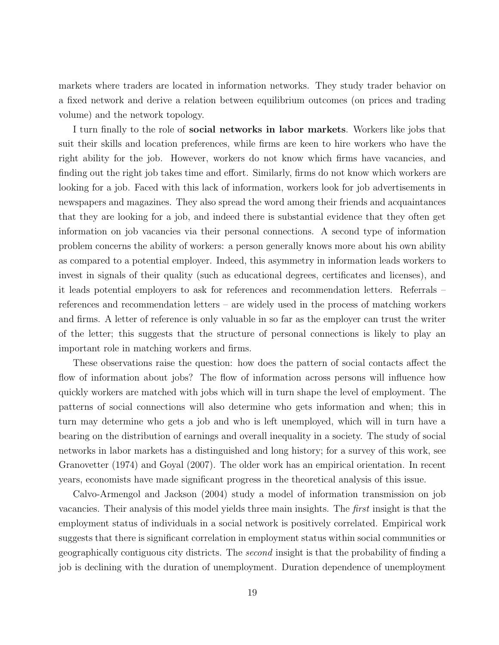markets where traders are located in information networks. They study trader behavior on a fixed network and derive a relation between equilibrium outcomes (on prices and trading volume) and the network topology.

I turn finally to the role of social networks in labor markets. Workers like jobs that suit their skills and location preferences, while firms are keen to hire workers who have the right ability for the job. However, workers do not know which firms have vacancies, and finding out the right job takes time and effort. Similarly, firms do not know which workers are looking for a job. Faced with this lack of information, workers look for job advertisements in newspapers and magazines. They also spread the word among their friends and acquaintances that they are looking for a job, and indeed there is substantial evidence that they often get information on job vacancies via their personal connections. A second type of information problem concerns the ability of workers: a person generally knows more about his own ability as compared to a potential employer. Indeed, this asymmetry in information leads workers to invest in signals of their quality (such as educational degrees, certificates and licenses), and it leads potential employers to ask for references and recommendation letters. Referrals – references and recommendation letters – are widely used in the process of matching workers and firms. A letter of reference is only valuable in so far as the employer can trust the writer of the letter; this suggests that the structure of personal connections is likely to play an important role in matching workers and firms.

These observations raise the question: how does the pattern of social contacts affect the flow of information about jobs? The flow of information across persons will influence how quickly workers are matched with jobs which will in turn shape the level of employment. The patterns of social connections will also determine who gets information and when; this in turn may determine who gets a job and who is left unemployed, which will in turn have a bearing on the distribution of earnings and overall inequality in a society. The study of social networks in labor markets has a distinguished and long history; for a survey of this work, see Granovetter (1974) and Goyal (2007). The older work has an empirical orientation. In recent years, economists have made significant progress in the theoretical analysis of this issue.

Calvo-Armengol and Jackson (2004) study a model of information transmission on job vacancies. Their analysis of this model yields three main insights. The *first* insight is that the employment status of individuals in a social network is positively correlated. Empirical work suggests that there is significant correlation in employment status within social communities or geographically contiguous city districts. The *second* insight is that the probability of finding a job is declining with the duration of unemployment. Duration dependence of unemployment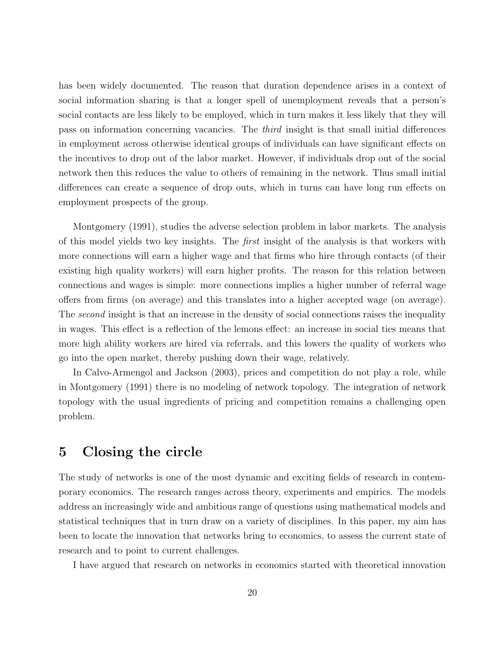has been widely documented. The reason that duration dependence arises in a context of social information sharing is that a longer spell of unemployment reveals that a person's social contacts are less likely to be employed, which in turn makes it less likely that they will pass on information concerning vacancies. The *third* insight is that small initial differences in employment across otherwise identical groups of individuals can have significant effects on the incentives to drop out of the labor market. However, if individuals drop out of the social network then this reduces the value to others of remaining in the network. Thus small initial differences can create a sequence of drop outs, which in turns can have long run effects on employment prospects of the group.

Montgomery (1991), studies the adverse selection problem in labor markets. The analysis of this model yields two key insights. The *first* insight of the analysis is that workers with more connections will earn a higher wage and that firms who hire through contacts (of their existing high quality workers) will earn higher profits. The reason for this relation between connections and wages is simple: more connections implies a higher number of referral wage offers from firms (on average) and this translates into a higher accepted wage (on average). The *second* insight is that an increase in the density of social connections raises the inequality in wages. This effect is a reflection of the lemons effect: an increase in social ties means that more high ability workers are hired via referrals, and this lowers the quality of workers who go into the open market, thereby pushing down their wage, relatively.

In Calvo-Armengol and Jackson (2003), prices and competition do not play a role, while in Montgomery (1991) there is no modeling of network topology. The integration of network topology with the usual ingredients of pricing and competition remains a challenging open problem.

### 5 Closing the circle

The study of networks is one of the most dynamic and exciting fields of research in contemporary economics. The research ranges across theory, experiments and empirics. The models address an increasingly wide and ambitious range of questions using mathematical models and statistical techniques that in turn draw on a variety of disciplines. In this paper, my aim has been to locate the innovation that networks bring to economics, to assess the current state of research and to point to current challenges.

I have argued that research on networks in economics started with theoretical innovation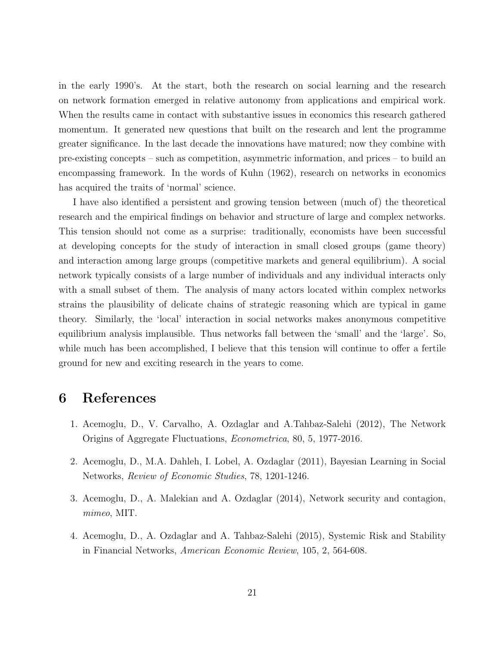in the early 1990's. At the start, both the research on social learning and the research on network formation emerged in relative autonomy from applications and empirical work. When the results came in contact with substantive issues in economics this research gathered momentum. It generated new questions that built on the research and lent the programme greater significance. In the last decade the innovations have matured; now they combine with pre-existing concepts – such as competition, asymmetric information, and prices – to build an encompassing framework. In the words of Kuhn (1962), research on networks in economics has acquired the traits of 'normal' science.

I have also identified a persistent and growing tension between (much of) the theoretical research and the empirical findings on behavior and structure of large and complex networks. This tension should not come as a surprise: traditionally, economists have been successful at developing concepts for the study of interaction in small closed groups (game theory) and interaction among large groups (competitive markets and general equilibrium). A social network typically consists of a large number of individuals and any individual interacts only with a small subset of them. The analysis of many actors located within complex networks strains the plausibility of delicate chains of strategic reasoning which are typical in game theory. Similarly, the 'local' interaction in social networks makes anonymous competitive equilibrium analysis implausible. Thus networks fall between the 'small' and the 'large'. So, while much has been accomplished, I believe that this tension will continue to offer a fertile ground for new and exciting research in the years to come.

#### 6 References

- 1. Acemoglu, D., V. Carvalho, A. Ozdaglar and A.Tahbaz-Salehi (2012), The Network Origins of Aggregate Fluctuations, *Econometrica*, 80, 5, 1977-2016.
- 2. Acemoglu, D., M.A. Dahleh, I. Lobel, A. Ozdaglar (2011), Bayesian Learning in Social Networks, *Review of Economic Studies*, 78, 1201-1246.
- 3. Acemoglu, D., A. Malekian and A. Ozdaglar (2014), Network security and contagion, *mimeo*, MIT.
- 4. Acemoglu, D., A. Ozdaglar and A. Tahbaz-Salehi (2015), Systemic Risk and Stability in Financial Networks, *American Economic Review*, 105, 2, 564-608.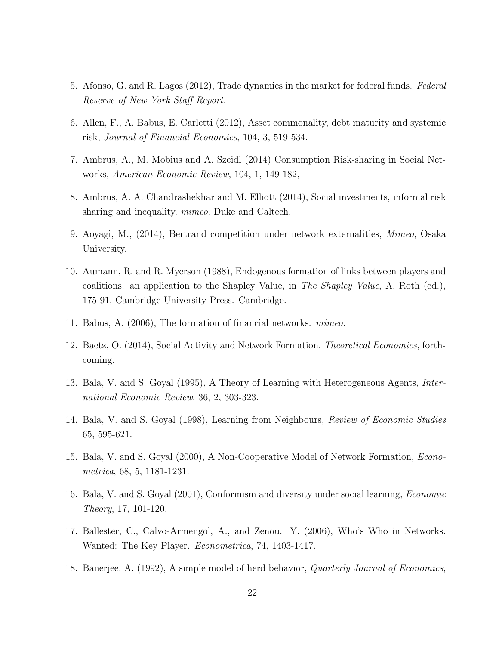- 5. Afonso, G. and R. Lagos (2012), Trade dynamics in the market for federal funds. *Federal Reserve of New York Staff Report.*
- 6. Allen, F., A. Babus, E. Carletti (2012), Asset commonality, debt maturity and systemic risk, *Journal of Financial Economics*, 104, 3, 519-534.
- 7. Ambrus, A., M. Mobius and A. Szeidl (2014) Consumption Risk-sharing in Social Networks, *American Economic Review*, 104, 1, 149-182,
- 8. Ambrus, A. A. Chandrashekhar and M. Elliott (2014), Social investments, informal risk sharing and inequality, *mimeo*, Duke and Caltech.
- 9. Aoyagi, M., (2014), Bertrand competition under network externalities, *Mimeo*, Osaka University.
- 10. Aumann, R. and R. Myerson (1988), Endogenous formation of links between players and coalitions: an application to the Shapley Value, in *The Shapley Value*, A. Roth (ed.), 175-91, Cambridge University Press. Cambridge.
- 11. Babus, A. (2006), The formation of financial networks. *mimeo*.
- 12. Baetz, O. (2014), Social Activity and Network Formation, *Theoretical Economics*, forthcoming.
- 13. Bala, V. and S. Goyal (1995), A Theory of Learning with Heterogeneous Agents, *International Economic Review*, 36, 2, 303-323.
- 14. Bala, V. and S. Goyal (1998), Learning from Neighbours, *Review of Economic Studies* 65, 595-621.
- 15. Bala, V. and S. Goyal (2000), A Non-Cooperative Model of Network Formation, *Econometrica*, 68, 5, 1181-1231.
- 16. Bala, V. and S. Goyal (2001), Conformism and diversity under social learning, *Economic Theory*, 17, 101-120.
- 17. Ballester, C., Calvo-Armengol, A., and Zenou. Y. (2006), Who's Who in Networks. Wanted: The Key Player. *Econometrica*, 74, 1403-1417.
- 18. Banerjee, A. (1992), A simple model of herd behavior, *Quarterly Journal of Economics*,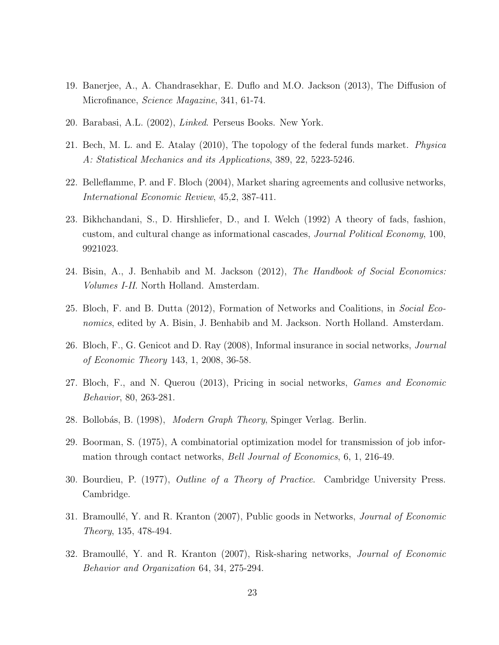- 19. Banerjee, A., A. Chandrasekhar, E. Duflo and M.O. Jackson (2013), The Diffusion of Microfinance, *Science Magazine*, 341, 61-74.
- 20. Barabasi, A.L. (2002), *Linked*. Perseus Books. New York.
- 21. Bech, M. L. and E. Atalay (2010), The topology of the federal funds market. *Physica A: Statistical Mechanics and its Applications*, 389, 22, 5223-5246.
- 22. Belleflamme, P. and F. Bloch (2004), Market sharing agreements and collusive networks, *International Economic Review*, 45,2, 387-411.
- 23. Bikhchandani, S., D. Hirshliefer, D., and I. Welch (1992) A theory of fads, fashion, custom, and cultural change as informational cascades, *Journal Political Economy*, 100, 9921023.
- 24. Bisin, A., J. Benhabib and M. Jackson (2012), *The Handbook of Social Economics: Volumes I-II*. North Holland. Amsterdam.
- 25. Bloch, F. and B. Dutta (2012), Formation of Networks and Coalitions, in *Social Economics*, edited by A. Bisin, J. Benhabib and M. Jackson. North Holland. Amsterdam.
- 26. Bloch, F., G. Genicot and D. Ray (2008), Informal insurance in social networks, *Journal of Economic Theory* 143, 1, 2008, 36-58.
- 27. Bloch, F., and N. Querou (2013), Pricing in social networks, *Games and Economic Behavior*, 80, 263-281.
- 28. Bollob´as, B. (1998), *Modern Graph Theory*, Spinger Verlag. Berlin.
- 29. Boorman, S. (1975), A combinatorial optimization model for transmission of job information through contact networks, *Bell Journal of Economics*, 6, 1, 216-49.
- 30. Bourdieu, P. (1977), *Outline of a Theory of Practice*. Cambridge University Press. Cambridge.
- 31. Bramoull´e, Y. and R. Kranton (2007), Public goods in Networks, *Journal of Economic Theory*, 135, 478-494.
- 32. Bramoull´e, Y. and R. Kranton (2007), Risk-sharing networks, *Journal of Economic Behavior and Organization* 64, 34, 275-294.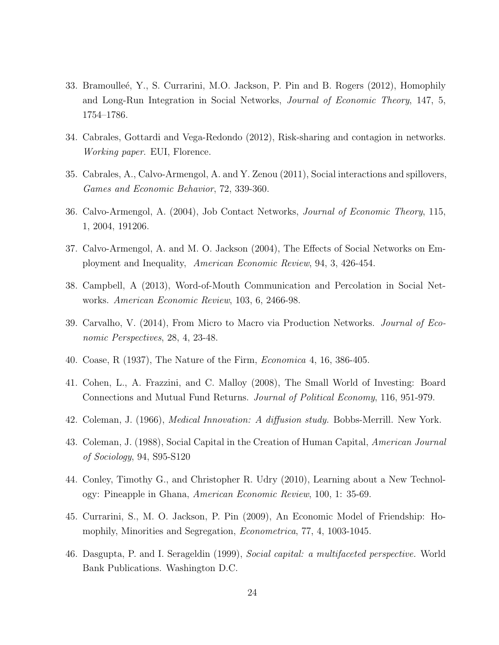- 33. Bramoulleé, Y., S. Currarini, M.O. Jackson, P. Pin and B. Rogers (2012), Homophily and Long-Run Integration in Social Networks, *Journal of Economic Theory*, 147, 5, 1754–1786.
- 34. Cabrales, Gottardi and Vega-Redondo (2012), Risk-sharing and contagion in networks. *Working paper*. EUI, Florence.
- 35. Cabrales, A., Calvo-Armengol, A. and Y. Zenou (2011), Social interactions and spillovers, *Games and Economic Behavior*, 72, 339-360.
- 36. Calvo-Armengol, A. (2004), Job Contact Networks, *Journal of Economic Theory*, 115, 1, 2004, 191206.
- 37. Calvo-Armengol, A. and M. O. Jackson (2004), The Effects of Social Networks on Employment and Inequality, *American Economic Review*, 94, 3, 426-454.
- 38. Campbell, A (2013), Word-of-Mouth Communication and Percolation in Social Networks. *American Economic Review*, 103, 6, 2466-98.
- 39. Carvalho, V. (2014), From Micro to Macro via Production Networks. *Journal of Economic Perspectives*, 28, 4, 23-48.
- 40. Coase, R (1937), The Nature of the Firm, *Economica* 4, 16, 386-405.
- 41. Cohen, L., A. Frazzini, and C. Malloy (2008), The Small World of Investing: Board Connections and Mutual Fund Returns. *Journal of Political Economy*, 116, 951-979.
- 42. Coleman, J. (1966), *Medical Innovation: A diffusion study*. Bobbs-Merrill. New York.
- 43. Coleman, J. (1988), Social Capital in the Creation of Human Capital, *American Journal of Sociology*, 94, S95-S120
- 44. Conley, Timothy G., and Christopher R. Udry (2010), Learning about a New Technology: Pineapple in Ghana, *American Economic Review*, 100, 1: 35-69.
- 45. Currarini, S., M. O. Jackson, P. Pin (2009), An Economic Model of Friendship: Homophily, Minorities and Segregation, *Econometrica*, 77, 4, 1003-1045.
- 46. Dasgupta, P. and I. Serageldin (1999), *Social capital: a multifaceted perspective.* World Bank Publications. Washington D.C.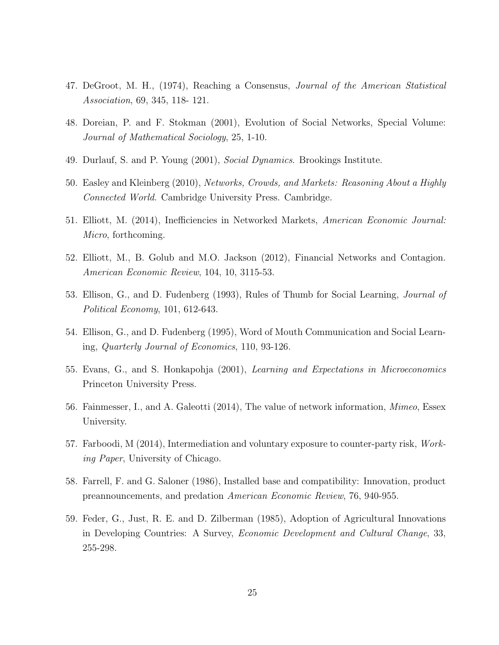- 47. DeGroot, M. H., (1974), Reaching a Consensus, *Journal of the American Statistical Association*, 69, 345, 118- 121.
- 48. Doreian, P. and F. Stokman (2001), Evolution of Social Networks, Special Volume: *Journal of Mathematical Sociology*, 25, 1-10.
- 49. Durlauf, S. and P. Young (2001), *Social Dynamics*. Brookings Institute.
- 50. Easley and Kleinberg (2010), *Networks, Crowds, and Markets: Reasoning About a Highly Connected World*. Cambridge University Press. Cambridge.
- 51. Elliott, M. (2014), Ineciencies in Networked Markets, *American Economic Journal: Micro*, forthcoming.
- 52. Elliott, M., B. Golub and M.O. Jackson (2012), Financial Networks and Contagion. *American Economic Review*, 104, 10, 3115-53.
- 53. Ellison, G., and D. Fudenberg (1993), Rules of Thumb for Social Learning, *Journal of Political Economy*, 101, 612-643.
- 54. Ellison, G., and D. Fudenberg (1995), Word of Mouth Communication and Social Learning, *Quarterly Journal of Economics*, 110, 93-126.
- 55. Evans, G., and S. Honkapohja (2001), *Learning and Expectations in Microeconomics* Princeton University Press.
- 56. Fainmesser, I., and A. Galeotti (2014), The value of network information, *Mimeo*, Essex University.
- 57. Farboodi, M (2014), Intermediation and voluntary exposure to counter-party risk, *Working Paper*, University of Chicago.
- 58. Farrell, F. and G. Saloner (1986), Installed base and compatibility: Innovation, product preannouncements, and predation *American Economic Review*, 76, 940-955.
- 59. Feder, G., Just, R. E. and D. Zilberman (1985), Adoption of Agricultural Innovations in Developing Countries: A Survey, *Economic Development and Cultural Change*, 33, 255-298.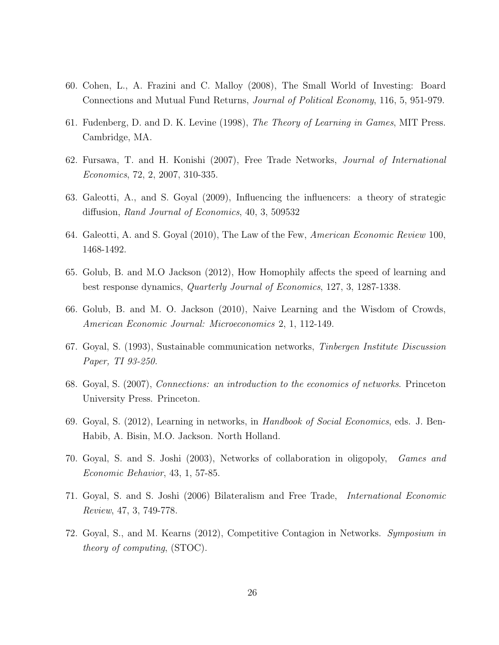- 60. Cohen, L., A. Frazini and C. Malloy (2008), The Small World of Investing: Board Connections and Mutual Fund Returns, *Journal of Political Economy*, 116, 5, 951-979.
- 61. Fudenberg, D. and D. K. Levine (1998), *The Theory of Learning in Games*, MIT Press. Cambridge, MA.
- 62. Fursawa, T. and H. Konishi (2007), Free Trade Networks, *Journal of International Economics*, 72, 2, 2007, 310-335.
- 63. Galeotti, A., and S. Goyal (2009), Influencing the influencers: a theory of strategic diffusion, *Rand Journal of Economics*, 40, 3, 509532
- 64. Galeotti, A. and S. Goyal (2010), The Law of the Few, *American Economic Review* 100, 1468-1492.
- 65. Golub, B. and M.O Jackson (2012), How Homophily affects the speed of learning and best response dynamics, *Quarterly Journal of Economics*, 127, 3, 1287-1338.
- 66. Golub, B. and M. O. Jackson (2010), Naive Learning and the Wisdom of Crowds, *American Economic Journal: Microeconomics* 2, 1, 112-149.
- 67. Goyal, S. (1993), Sustainable communication networks, *Tinbergen Institute Discussion Paper, TI 93-250.*
- 68. Goyal, S. (2007), *Connections: an introduction to the economics of networks*. Princeton University Press. Princeton.
- 69. Goyal, S. (2012), Learning in networks, in *Handbook of Social Economics*, eds. J. Ben-Habib, A. Bisin, M.O. Jackson. North Holland.
- 70. Goyal, S. and S. Joshi (2003), Networks of collaboration in oligopoly, *Games and Economic Behavior*, 43, 1, 57-85.
- 71. Goyal, S. and S. Joshi (2006) Bilateralism and Free Trade, *International Economic Review*, 47, 3, 749-778.
- 72. Goyal, S., and M. Kearns (2012), Competitive Contagion in Networks. *Symposium in theory of computing*, (STOC).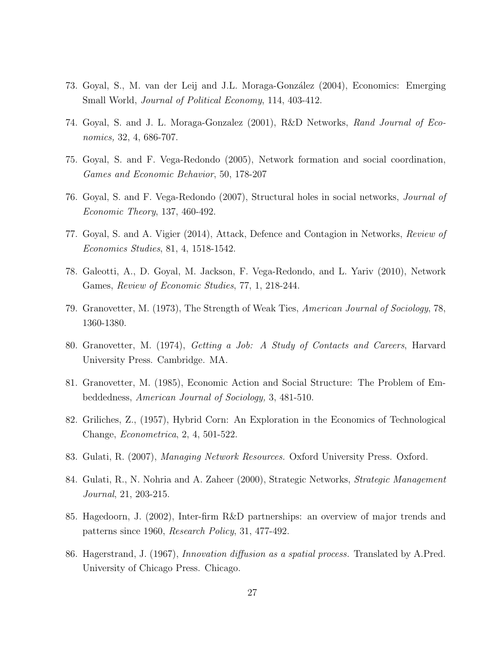- 73. Goyal, S., M. van der Leij and J.L. Moraga-Gonz´alez (2004), Economics: Emerging Small World, *Journal of Political Economy*, 114, 403-412.
- 74. Goyal, S. and J. L. Moraga-Gonzalez (2001), R&D Networks, *Rand Journal of Economics,* 32, 4, 686-707.
- 75. Goyal, S. and F. Vega-Redondo (2005), Network formation and social coordination, *Games and Economic Behavior*, 50, 178-207
- 76. Goyal, S. and F. Vega-Redondo (2007), Structural holes in social networks, *Journal of Economic Theory*, 137, 460-492.
- 77. Goyal, S. and A. Vigier (2014), Attack, Defence and Contagion in Networks, *Review of Economics Studies*, 81, 4, 1518-1542.
- 78. Galeotti, A., D. Goyal, M. Jackson, F. Vega-Redondo, and L. Yariv (2010), Network Games, *Review of Economic Studies*, 77, 1, 218-244.
- 79. Granovetter, M. (1973), The Strength of Weak Ties, *American Journal of Sociology*, 78, 1360-1380.
- 80. Granovetter, M. (1974), *Getting a Job: A Study of Contacts and Careers*, Harvard University Press. Cambridge. MA.
- 81. Granovetter, M. (1985), Economic Action and Social Structure: The Problem of Embeddedness, *American Journal of Sociology,* 3, 481-510.
- 82. Griliches, Z., (1957), Hybrid Corn: An Exploration in the Economics of Technological Change, *Econometrica*, 2, 4, 501-522.
- 83. Gulati, R. (2007), *Managing Network Resources.* Oxford University Press. Oxford.
- 84. Gulati, R., N. Nohria and A. Zaheer (2000), Strategic Networks, *Strategic Management Journal*, 21, 203-215.
- 85. Hagedoorn, J. (2002), Inter-firm R&D partnerships: an overview of major trends and patterns since 1960, *Research Policy*, 31, 477-492.
- 86. Hagerstrand, J. (1967), *Innovation diffusion as a spatial process*. Translated by A.Pred. University of Chicago Press. Chicago.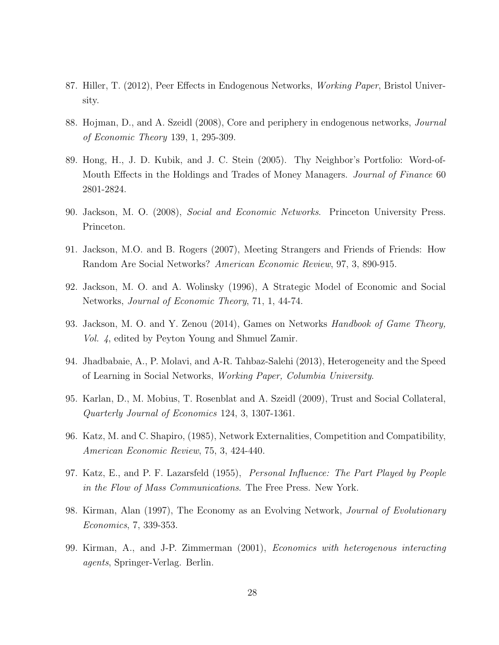- 87. Hiller, T. (2012), Peer Effects in Endogenous Networks, *Working Paper*, Bristol University.
- 88. Hojman, D., and A. Szeidl (2008), Core and periphery in endogenous networks, *Journal of Economic Theory* 139, 1, 295-309.
- 89. Hong, H., J. D. Kubik, and J. C. Stein (2005). Thy Neighbor's Portfolio: Word-of-Mouth Effects in the Holdings and Trades of Money Managers. *Journal of Finance* 60 2801-2824.
- 90. Jackson, M. O. (2008), *Social and Economic Networks*. Princeton University Press. Princeton.
- 91. Jackson, M.O. and B. Rogers (2007), Meeting Strangers and Friends of Friends: How Random Are Social Networks? *American Economic Review*, 97, 3, 890-915.
- 92. Jackson, M. O. and A. Wolinsky (1996), A Strategic Model of Economic and Social Networks, *Journal of Economic Theory*, 71, 1, 44-74.
- 93. Jackson, M. O. and Y. Zenou (2014), Games on Networks *Handbook of Game Theory, Vol. 4*, edited by Peyton Young and Shmuel Zamir.
- 94. Jhadbabaie, A., P. Molavi, and A-R. Tahbaz-Salehi (2013), Heterogeneity and the Speed of Learning in Social Networks, *Working Paper, Columbia University*.
- 95. Karlan, D., M. Mobius, T. Rosenblat and A. Szeidl (2009), Trust and Social Collateral, *Quarterly Journal of Economics* 124, 3, 1307-1361.
- 96. Katz, M. and C. Shapiro, (1985), Network Externalities, Competition and Compatibility, *American Economic Review*, 75, 3, 424-440.
- 97. Katz, E., and P. F. Lazarsfeld (1955), *Personal Influence: The Part Played by People in the Flow of Mass Communications*. The Free Press. New York.
- 98. Kirman, Alan (1997), The Economy as an Evolving Network, *Journal of Evolutionary Economics*, 7, 339-353.
- 99. Kirman, A., and J-P. Zimmerman (2001), *Economics with heterogenous interacting agents*, Springer-Verlag. Berlin.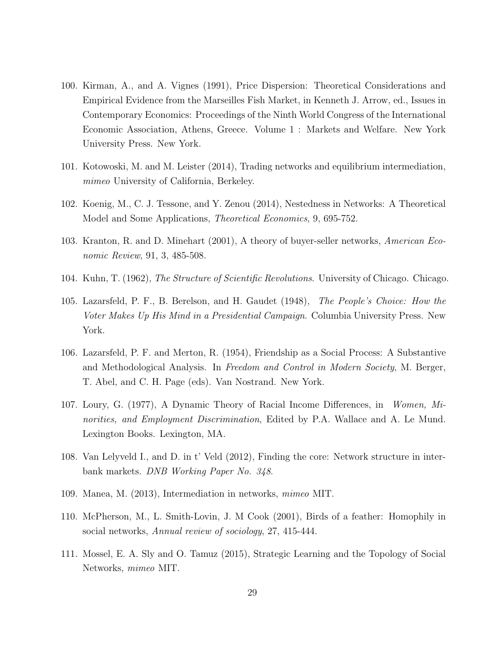- 100. Kirman, A., and A. Vignes (1991), Price Dispersion: Theoretical Considerations and Empirical Evidence from the Marseilles Fish Market, in Kenneth J. Arrow, ed., Issues in Contemporary Economics: Proceedings of the Ninth World Congress of the International Economic Association, Athens, Greece. Volume 1 : Markets and Welfare. New York University Press. New York.
- 101. Kotowoski, M. and M. Leister (2014), Trading networks and equilibrium intermediation, *mimeo* University of California, Berkeley.
- 102. Koenig, M., C. J. Tessone, and Y. Zenou (2014), Nestedness in Networks: A Theoretical Model and Some Applications, *Theoretical Economics*, 9, 695-752.
- 103. Kranton, R. and D. Minehart (2001), A theory of buyer-seller networks, *American Economic Review*, 91, 3, 485-508.
- 104. Kuhn, T. (1962), *The Structure of Scientific Revolutions*. University of Chicago. Chicago.
- 105. Lazarsfeld, P. F., B. Berelson, and H. Gaudet (1948), *The People's Choice: How the Voter Makes Up His Mind in a Presidential Campaign*. Columbia University Press. New York.
- 106. Lazarsfeld, P. F. and Merton, R. (1954), Friendship as a Social Process: A Substantive and Methodological Analysis. In *Freedom and Control in Modern Society*, M. Berger, T. Abel, and C. H. Page (eds). Van Nostrand. New York.
- 107. Loury, G. (1977), A Dynamic Theory of Racial Income Differences, in *Women, Minorities, and Employment Discrimination*, Edited by P.A. Wallace and A. Le Mund. Lexington Books. Lexington, MA.
- 108. Van Lelyveld I., and D. in t' Veld (2012), Finding the core: Network structure in interbank markets. *DNB Working Paper No. 348*.
- 109. Manea, M. (2013), Intermediation in networks, *mimeo* MIT.
- 110. McPherson, M., L. Smith-Lovin, J. M Cook (2001), Birds of a feather: Homophily in social networks, *Annual review of sociology*, 27, 415-444.
- 111. Mossel, E. A. Sly and O. Tamuz (2015), Strategic Learning and the Topology of Social Networks, *mimeo* MIT.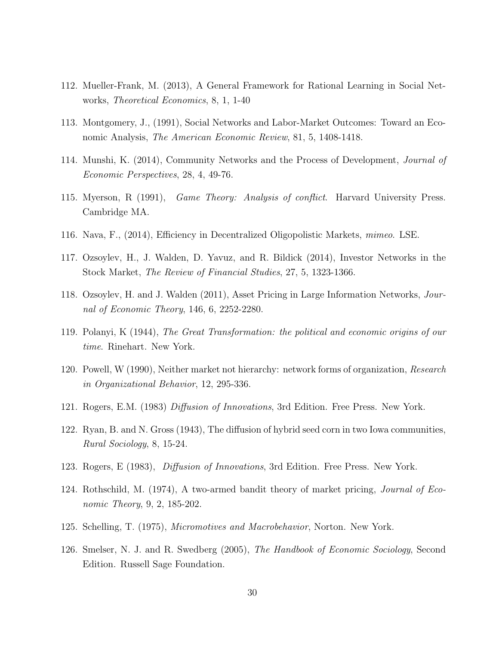- 112. Mueller-Frank, M. (2013), A General Framework for Rational Learning in Social Networks, *Theoretical Economics*, 8, 1, 1-40
- 113. Montgomery, J., (1991), Social Networks and Labor-Market Outcomes: Toward an Economic Analysis, *The American Economic Review*, 81, 5, 1408-1418.
- 114. Munshi, K. (2014), Community Networks and the Process of Development, *Journal of Economic Perspectives*, 28, 4, 49-76.
- 115. Myerson, R (1991), *Game Theory: Analysis of conflict*. Harvard University Press. Cambridge MA.
- 116. Nava, F., (2014), Efficiency in Decentralized Oligopolistic Markets, *mimeo*. LSE.
- 117. Ozsoylev, H., J. Walden, D. Yavuz, and R. Bildick (2014), Investor Networks in the Stock Market, *The Review of Financial Studies*, 27, 5, 1323-1366.
- 118. Ozsoylev, H. and J. Walden (2011), Asset Pricing in Large Information Networks, *Journal of Economic Theory*, 146, 6, 2252-2280.
- 119. Polanyi, K (1944), *The Great Transformation: the political and economic origins of our time*. Rinehart. New York.
- 120. Powell, W (1990), Neither market not hierarchy: network forms of organization, *Research in Organizational Behavior*, 12, 295-336.
- 121. Rogers, E.M. (1983) *Diffusion of Innovations*, 3rd Edition. Free Press. New York.
- 122. Ryan, B. and N. Gross (1943), The diffusion of hybrid seed corn in two Iowa communities, *Rural Sociology*, 8, 15-24.
- 123. Rogers, E (1983), *Diffusion of Innovations*, 3rd Edition. Free Press. New York.
- 124. Rothschild, M. (1974), A two-armed bandit theory of market pricing, *Journal of Economic Theory*, 9, 2, 185-202.
- 125. Schelling, T. (1975), *Micromotives and Macrobehavior*, Norton. New York.
- 126. Smelser, N. J. and R. Swedberg (2005), *The Handbook of Economic Sociology*, Second Edition. Russell Sage Foundation.